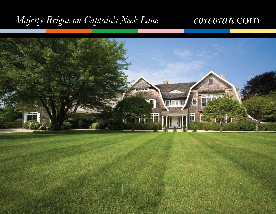# *Majesty Reigns on Captain's Neck Lane*

## corcoran.com